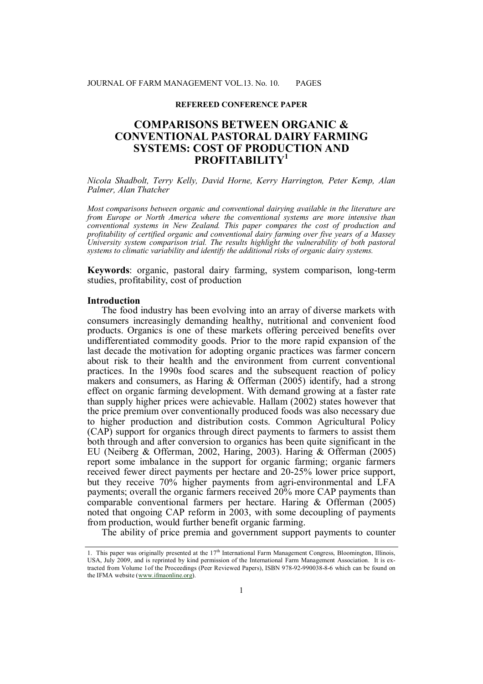#### **REFEREED CONFERENCE PAPER**

# **COMPARISONS BETWEEN ORGANIC & CONVENTIONAL PASTORAL DAIRY FARMING SYSTEMS: COST OF PRODUCTION AND PROFITABILITY<sup>1</sup>**

*Nicola Shadbolt, Terry Kelly, David Horne, Kerry Harrington, Peter Kemp, Alan Palmer, Alan Thatcher*

*Most comparisons between organic and conventional dairying available in the literature are from Europe or North America where the conventional systems are more intensive than conventional systems in New Zealand. This paper compares the cost of production and profitability of certified organic and conventional dairy farming over five years of a Massey University system comparison trial. The results highlight the vulnerability of both pastoral systems to climatic variability and identify the additional risks of organic dairy systems.*

**Keywords**: organic, pastoral dairy farming, system comparison, long-term studies, profitability, cost of production

#### **Introduction**

The food industry has been evolving into an array of diverse markets with consumers increasingly demanding healthy, nutritional and convenient food products. Organics is one of these markets offering perceived benefits over undifferentiated commodity goods. Prior to the more rapid expansion of the last decade the motivation for adopting organic practices was farmer concern about risk to their health and the environment from current conventional practices. In the 1990s food scares and the subsequent reaction of policy makers and consumers, as Haring & Offerman (2005) identify, had a strong effect on organic farming development. With demand growing at a faster rate than supply higher prices were achievable. Hallam (2002) states however that the price premium over conventionally produced foods was also necessary due to higher production and distribution costs. Common Agricultural Policy (CAP) support for organics through direct payments to farmers to assist them both through and after conversion to organics has been quite significant in the EU (Neiberg & Offerman, 2002, Haring, 2003). Haring & Offerman (2005) report some imbalance in the support for organic farming; organic farmers received fewer direct payments per hectare and 20-25% lower price support, but they receive 70% higher payments from agri-environmental and LFA payments; overall the organic farmers received 20% more CAP payments than comparable conventional farmers per hectare. Haring & Offerman (2005) noted that ongoing CAP reform in 2003, with some decoupling of payments from production, would further benefit organic farming.

The ability of price premia and government support payments to counter

<sup>1.</sup> This paper was originally presented at the 17th International Farm Management Congress, Bloomington, Illinois, USA, July 2009, and is reprinted by kind permission of the International Farm Management Association. It is extracted from Volume 1of the Proceedings (Peer Reviewed Papers), ISBN 978-92-990038-8-6 which can be found on the IFMA website (www.ifmaonline.org).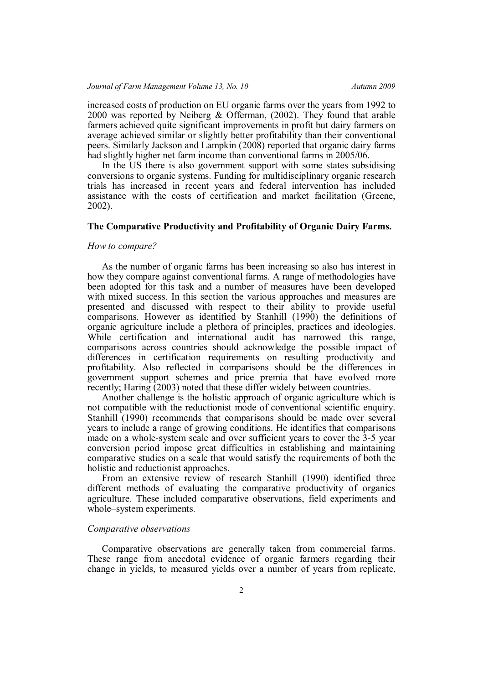increased costs of production on EU organic farms over the years from 1992 to 2000 was reported by Neiberg & Offerman, (2002). They found that arable farmers achieved quite significant improvements in profit but dairy farmers on average achieved similar or slightly better profitability than their conventional peers. Similarly Jackson and Lampkin (2008) reported that organic dairy farms had slightly higher net farm income than conventional farms in 2005/06.

In the US there is also government support with some states subsidising conversions to organic systems. Funding for multidisciplinary organic research trials has increased in recent years and federal intervention has included assistance with the costs of certification and market facilitation (Greene, 2002).

# **The Comparative Productivity and Profitability of Organic Dairy Farms.**

### *How to compare?*

As the number of organic farms has been increasing so also has interest in how they compare against conventional farms. A range of methodologies have been adopted for this task and a number of measures have been developed with mixed success. In this section the various approaches and measures are presented and discussed with respect to their ability to provide useful comparisons. However as identified by Stanhill (1990) the definitions of organic agriculture include a plethora of principles, practices and ideologies. While certification and international audit has narrowed this range, comparisons across countries should acknowledge the possible impact of differences in certification requirements on resulting productivity and profitability. Also reflected in comparisons should be the differences in government support schemes and price premia that have evolved more recently; Haring (2003) noted that these differ widely between countries.

Another challenge is the holistic approach of organic agriculture which is not compatible with the reductionist mode of conventional scientific enquiry. Stanhill (1990) recommends that comparisons should be made over several years to include a range of growing conditions. He identifies that comparisons made on a whole-system scale and over sufficient years to cover the 3-5 year conversion period impose great difficulties in establishing and maintaining comparative studies on a scale that would satisfy the requirements of both the holistic and reductionist approaches.

From an extensive review of research Stanhill (1990) identified three different methods of evaluating the comparative productivity of organics agriculture. These included comparative observations, field experiments and whole–system experiments.

#### *Comparative observations*

Comparative observations are generally taken from commercial farms. These range from anecdotal evidence of organic farmers regarding their change in yields, to measured yields over a number of years from replicate,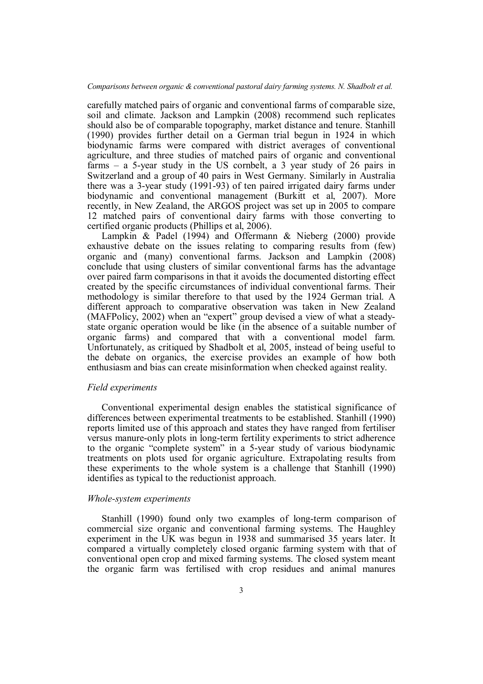carefully matched pairs of organic and conventional farms of comparable size, soil and climate. Jackson and Lampkin (2008) recommend such replicates should also be of comparable topography, market distance and tenure. Stanhill (1990) provides further detail on a German trial begun in 1924 in which biodynamic farms were compared with district averages of conventional agriculture, and three studies of matched pairs of organic and conventional farms – a 5-year study in the US cornbelt, a 3 year study of 26 pairs in Switzerland and a group of 40 pairs in West Germany. Similarly in Australia there was a 3-year study (1991-93) of ten paired irrigated dairy farms under biodynamic and conventional management (Burkitt et al, 2007). More recently, in New Zealand, the ARGOS project was set up in 2005 to compare 12 matched pairs of conventional dairy farms with those converting to certified organic products (Phillips et al, 2006).

Lampkin & Padel (1994) and Offermann & Nieberg (2000) provide exhaustive debate on the issues relating to comparing results from (few) organic and (many) conventional farms. Jackson and Lampkin (2008) conclude that using clusters of similar conventional farms has the advantage over paired farm comparisons in that it avoids the documented distorting effect created by the specific circumstances of individual conventional farms. Their methodology is similar therefore to that used by the 1924 German trial. A different approach to comparative observation was taken in New Zealand (MAFPolicy, 2002) when an "expert" group devised a view of what a steadystate organic operation would be like (in the absence of a suitable number of organic farms) and compared that with a conventional model farm. Unfortunately, as critiqued by Shadbolt et al, 2005, instead of being useful to the debate on organics, the exercise provides an example of how both enthusiasm and bias can create misinformation when checked against reality.

### *Field experiments*

Conventional experimental design enables the statistical significance of differences between experimental treatments to be established. Stanhill (1990) reports limited use of this approach and states they have ranged from fertiliser versus manure-only plots in long-term fertility experiments to strict adherence to the organic "complete system" in a 5-year study of various biodynamic treatments on plots used for organic agriculture. Extrapolating results from these experiments to the whole system is a challenge that Stanhill (1990) identifies as typical to the reductionist approach.

### *Whole-system experiments*

Stanhill (1990) found only two examples of long-term comparison of commercial size organic and conventional farming systems. The Haughley experiment in the UK was begun in 1938 and summarised 35 years later. It compared a virtually completely closed organic farming system with that of conventional open crop and mixed farming systems. The closed system meant the organic farm was fertilised with crop residues and animal manures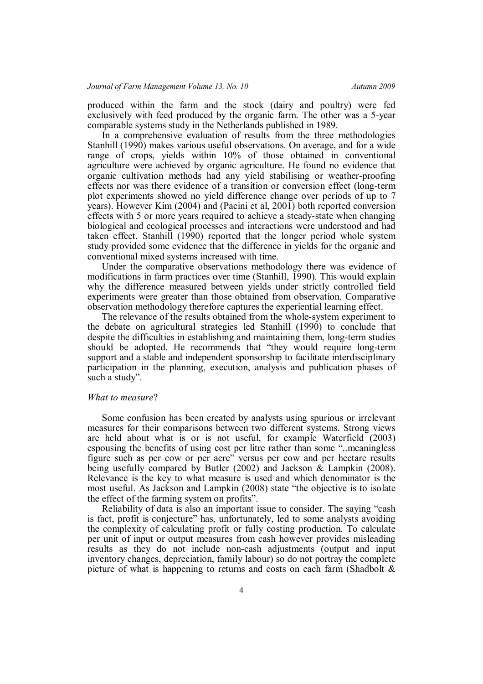produced within the farm and the stock (dairy and poultry) were fed exclusively with feed produced by the organic farm. The other was a 5-year comparable systems study in the Netherlands published in 1989.

In a comprehensive evaluation of results from the three methodologies Stanhill (1990) makes various useful observations. On average, and for a wide range of crops, yields within 10% of those obtained in conventional agriculture were achieved by organic agriculture. He found no evidence that organic cultivation methods had any yield stabilising or weather-proofing effects nor was there evidence of a transition or conversion effect (long-term plot experiments showed no yield difference change over periods of up to 7 years). However Kim (2004) and (Pacini et al, 2001) both reported conversion effects with 5 or more years required to achieve a steady-state when changing biological and ecological processes and interactions were understood and had taken effect. Stanhill (1990) reported that the longer period whole system study provided some evidence that the difference in yields for the organic and conventional mixed systems increased with time.

Under the comparative observations methodology there was evidence of modifications in farm practices over time (Stanhill, 1990). This would explain why the difference measured between yields under strictly controlled field experiments were greater than those obtained from observation. Comparative observation methodology therefore captures the experiential learning effect.

The relevance of the results obtained from the whole-system experiment to the debate on agricultural strategies led Stanhill (1990) to conclude that despite the difficulties in establishing and maintaining them, long-term studies should be adopted. He recommends that "they would require long-term support and a stable and independent sponsorship to facilitate interdisciplinary participation in the planning, execution, analysis and publication phases of such a study".

### *What to measure*?

Some confusion has been created by analysts using spurious or irrelevant measures for their comparisons between two different systems. Strong views are held about what is or is not useful, for example Waterfield (2003) espousing the benefits of using cost per litre rather than some "..meaningless figure such as per cow or per acre" versus per cow and per hectare results being usefully compared by Butler (2002) and Jackson & Lampkin (2008). Relevance is the key to what measure is used and which denominator is the most useful. As Jackson and Lampkin (2008) state "the objective is to isolate the effect of the farming system on profits".

Reliability of data is also an important issue to consider. The saying "cash is fact, profit is conjecture" has, unfortunately, led to some analysts avoiding the complexity of calculating profit or fully costing production. To calculate per unit of input or output measures from cash however provides misleading results as they do not include non-cash adjustments (output and input inventory changes, depreciation, family labour) so do not portray the complete picture of what is happening to returns and costs on each farm (Shadbolt &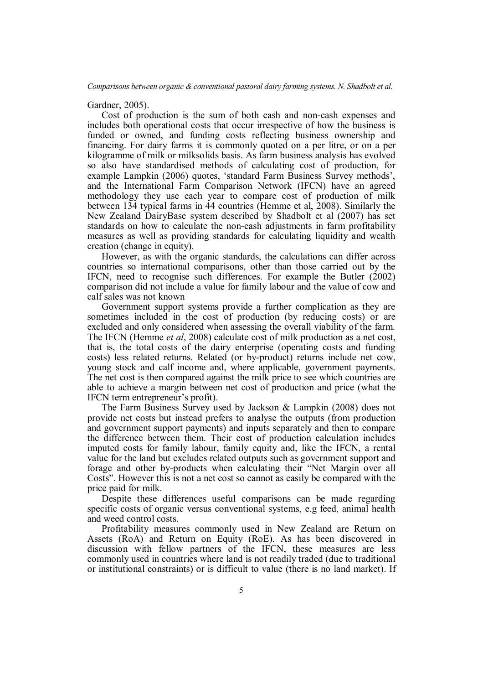Gardner, 2005).

Cost of production is the sum of both cash and non-cash expenses and includes both operational costs that occur irrespective of how the business is funded or owned, and funding costs reflecting business ownership and financing. For dairy farms it is commonly quoted on a per litre, or on a per kilogramme of milk or milksolids basis. As farm business analysis has evolved so also have standardised methods of calculating cost of production, for example Lampkin (2006) quotes, 'standard Farm Business Survey methods', and the International Farm Comparison Network (IFCN) have an agreed methodology they use each year to compare cost of production of milk between 134 typical farms in 44 countries (Hemme et al, 2008). Similarly the New Zealand DairyBase system described by Shadbolt et al (2007) has set standards on how to calculate the non-cash adjustments in farm profitability measures as well as providing standards for calculating liquidity and wealth creation (change in equity).

However, as with the organic standards, the calculations can differ across countries so international comparisons, other than those carried out by the IFCN, need to recognise such differences. For example the Butler (2002) comparison did not include a value for family labour and the value of cow and calf sales was not known

Government support systems provide a further complication as they are sometimes included in the cost of production (by reducing costs) or are excluded and only considered when assessing the overall viability of the farm. The IFCN (Hemme *et al*, 2008) calculate cost of milk production as a net cost, that is, the total costs of the dairy enterprise (operating costs and funding costs) less related returns. Related (or by-product) returns include net cow, young stock and calf income and, where applicable, government payments. The net cost is then compared against the milk price to see which countries are able to achieve a margin between net cost of production and price (what the IFCN term entrepreneur's profit).

The Farm Business Survey used by Jackson & Lampkin (2008) does not provide net costs but instead prefers to analyse the outputs (from production and government support payments) and inputs separately and then to compare the difference between them. Their cost of production calculation includes imputed costs for family labour, family equity and, like the IFCN, a rental value for the land but excludes related outputs such as government support and forage and other by-products when calculating their "Net Margin over all Costs". However this is not a net cost so cannot as easily be compared with the price paid for milk.

Despite these differences useful comparisons can be made regarding specific costs of organic versus conventional systems, e.g feed, animal health and weed control costs.

Profitability measures commonly used in New Zealand are Return on Assets (RoA) and Return on Equity (RoE). As has been discovered in discussion with fellow partners of the IFCN, these measures are less commonly used in countries where land is not readily traded (due to traditional or institutional constraints) or is difficult to value (there is no land market). If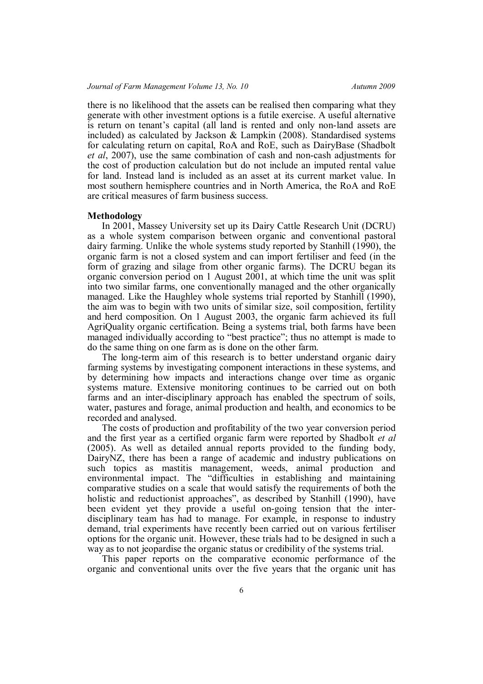there is no likelihood that the assets can be realised then comparing what they generate with other investment options is a futile exercise. A useful alternative is return on tenant's capital (all land is rented and only non-land assets are included) as calculated by Jackson & Lampkin (2008). Standardised systems for calculating return on capital, RoA and RoE, such as DairyBase (Shadbolt *et al*, 2007), use the same combination of cash and non-cash adjustments for the cost of production calculation but do not include an imputed rental value for land. Instead land is included as an asset at its current market value. In most southern hemisphere countries and in North America, the RoA and RoE are critical measures of farm business success.

#### **Methodology**

In 2001, Massey University set up its Dairy Cattle Research Unit (DCRU) as a whole system comparison between organic and conventional pastoral dairy farming. Unlike the whole systems study reported by Stanhill (1990), the organic farm is not a closed system and can import fertiliser and feed (in the form of grazing and silage from other organic farms). The DCRU began its organic conversion period on 1 August 2001, at which time the unit was split into two similar farms, one conventionally managed and the other organically managed. Like the Haughley whole systems trial reported by Stanhill (1990), the aim was to begin with two units of similar size, soil composition, fertility and herd composition. On 1 August 2003, the organic farm achieved its full AgriQuality organic certification. Being a systems trial, both farms have been managed individually according to "best practice"; thus no attempt is made to do the same thing on one farm as is done on the other farm.

The long-term aim of this research is to better understand organic dairy farming systems by investigating component interactions in these systems, and by determining how impacts and interactions change over time as organic systems mature. Extensive monitoring continues to be carried out on both farms and an inter-disciplinary approach has enabled the spectrum of soils, water, pastures and forage, animal production and health, and economics to be recorded and analysed.

The costs of production and profitability of the two year conversion period and the first year as a certified organic farm were reported by Shadbolt *et al* (2005). As well as detailed annual reports provided to the funding body, DairyNZ, there has been a range of academic and industry publications on such topics as mastitis management, weeds, animal production and environmental impact. The "difficulties in establishing and maintaining comparative studies on a scale that would satisfy the requirements of both the holistic and reductionist approaches", as described by Stanhill (1990), have been evident yet they provide a useful on-going tension that the interdisciplinary team has had to manage. For example, in response to industry demand, trial experiments have recently been carried out on various fertiliser options for the organic unit. However, these trials had to be designed in such a way as to not jeopardise the organic status or credibility of the systems trial.

This paper reports on the comparative economic performance of the organic and conventional units over the five years that the organic unit has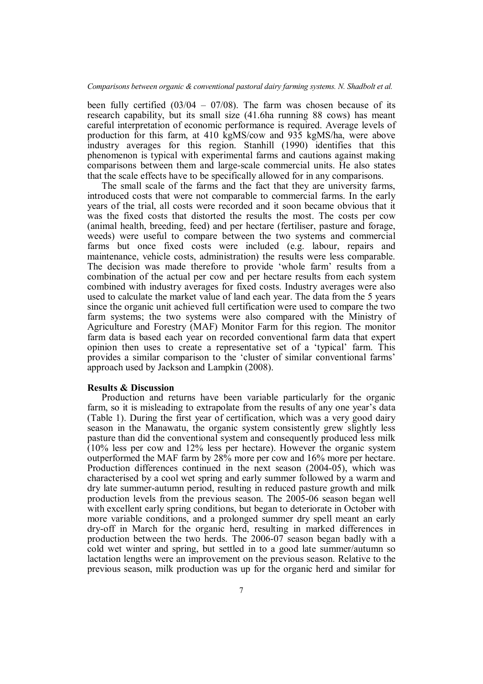been fully certified  $(03/04 - 07/08)$ . The farm was chosen because of its research capability, but its small size (41.6ha running 88 cows) has meant careful interpretation of economic performance is required. Average levels of production for this farm, at 410 kgMS/cow and 935 kgMS/ha, were above industry averages for this region. Stanhill (1990) identifies that this phenomenon is typical with experimental farms and cautions against making comparisons between them and large-scale commercial units. He also states that the scale effects have to be specifically allowed for in any comparisons.

The small scale of the farms and the fact that they are university farms, introduced costs that were not comparable to commercial farms. In the early years of the trial, all costs were recorded and it soon became obvious that it was the fixed costs that distorted the results the most. The costs per cow (animal health, breeding, feed) and per hectare (fertiliser, pasture and forage, weeds) were useful to compare between the two systems and commercial farms but once fixed costs were included (e.g. labour, repairs and maintenance, vehicle costs, administration) the results were less comparable. The decision was made therefore to provide 'whole farm' results from a combination of the actual per cow and per hectare results from each system combined with industry averages for fixed costs. Industry averages were also used to calculate the market value of land each year. The data from the 5 years since the organic unit achieved full certification were used to compare the two farm systems; the two systems were also compared with the Ministry of Agriculture and Forestry (MAF) Monitor Farm for this region. The monitor farm data is based each year on recorded conventional farm data that expert opinion then uses to create a representative set of a 'typical' farm. This provides a similar comparison to the 'cluster of similar conventional farms' approach used by Jackson and Lampkin (2008).

## **Results & Discussion**

Production and returns have been variable particularly for the organic farm, so it is misleading to extrapolate from the results of any one year's data (Table 1). During the first year of certification, which was a very good dairy season in the Manawatu, the organic system consistently grew slightly less pasture than did the conventional system and consequently produced less milk (10% less per cow and 12% less per hectare). However the organic system outperformed the MAF farm by 28% more per cow and 16% more per hectare. Production differences continued in the next season (2004-05), which was characterised by a cool wet spring and early summer followed by a warm and dry late summer-autumn period, resulting in reduced pasture growth and milk production levels from the previous season. The 2005-06 season began well with excellent early spring conditions, but began to deteriorate in October with more variable conditions, and a prolonged summer dry spell meant an early dry-off in March for the organic herd, resulting in marked differences in production between the two herds. The 2006-07 season began badly with a cold wet winter and spring, but settled in to a good late summer/autumn so lactation lengths were an improvement on the previous season. Relative to the previous season, milk production was up for the organic herd and similar for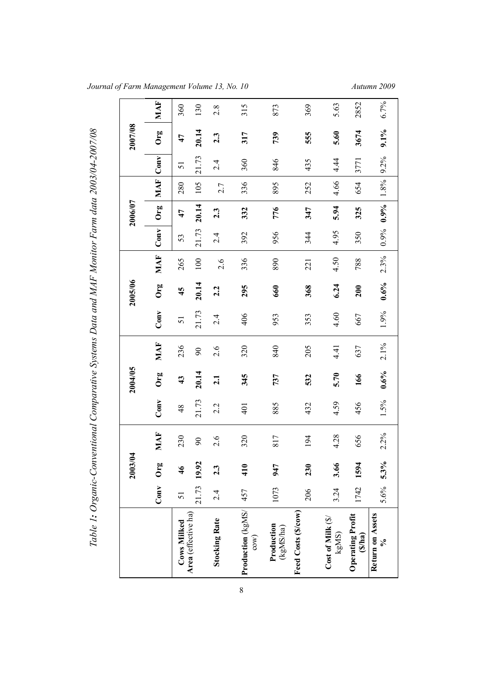|  |  |  | Journal of Farm Management Volume 13, No. 10 |  |  |  |  |  |  |
|--|--|--|----------------------------------------------|--|--|--|--|--|--|
|--|--|--|----------------------------------------------|--|--|--|--|--|--|

*Journal of Farm Management Volume 13, No. 10 Autumn 2009*

|                                    |             | 2003/04       |          |         | 2004/05           |          |       | 2005/06 |      |       | 2006/07 |         |         | 2007/08 |      |
|------------------------------------|-------------|---------------|----------|---------|-------------------|----------|-------|---------|------|-------|---------|---------|---------|---------|------|
|                                    | Conv        | Org           | MAF      | Conv    | Org               | MAF      | Conv  | Org     | MAF  | Conv  | Org     | MAF     | Conv    | Org     | MAF  |
| Cows Milked                        | 51          | $\frac{4}{6}$ | 230      | 48      | $\boldsymbol{43}$ | 236      | 51    | 45      | 265  | 53    | 47      | 280     | 51      | 47      | 360  |
| Area (effective ha)                | 21.73 19.92 |               | $\infty$ | 21.73   | 20.14             | $\infty$ | 21.73 | 20.14   | 100  | 21.73 | 20.14   | 105     | 21.73   | 20.14   | 130  |
| <b>Stocking Rate</b>               | 2.4         | 2.3           | 2.6      | 2.2     | 2.1               | 2.6      | 2.4   | 2.2     | 2.6  | 2.4   | 2.3     | 2.7     | 2.4     | 2.3     | 2.8  |
| Production (kgMS/<br>com)          | 457         | 410           | 320      | 401     | 345               | 320      | 406   | 295     | 336  | 392   | 332     | 336     | 360     | 317     | 315  |
| <b>Production</b><br>(kgMS/ha)     | 1073        | 947           | 817      | 885     | 737               | 840      | 953   | 660     | 890  | 956   | 776     | 895     | 846     | 739     | 873  |
| Feed Costs (\$/cow)                | 206         | 230           | 194      | 432     | 532               | 205      | 353   | 368     | 221  | 344   | 347     | 252     | 435     | 555     | 369  |
| Cost of Milk (\$)<br>$\text{kgMS}$ | 3.24        | 3.66          | 4.28     | 4.59    | 5.70              | 4.41     | 4.60  | 6.24    | 4.50 | 4.95  | 5.94    | 4.66    | 4.44    | 5.60    | 5.63 |
| <b>Operating Profit</b><br>(Nha)   | 1742        | 1594          | 656      | 456     | 166               | 637      | 667   | 200     | 788  | 350   | 325     | 654     | 3771    | 3674    | 2852 |
| Return on Assets<br>నీ             | 5.6% 5.3%   |               | 2.2%     | $1.5\%$ | $0.6\%$           | 2.1%     | 1.9%  | $0.6\%$ | 2.3% | 0.9%  | 0.9%    | $1.8\%$ | $9.2\%$ | $9.1\%$ | 6.7% |

8

*Ta ble 1: O rg anic-Co nventio nal Co mp arativ eSyste ms D ata andMA F Mo nito rFa rm data 2003/0*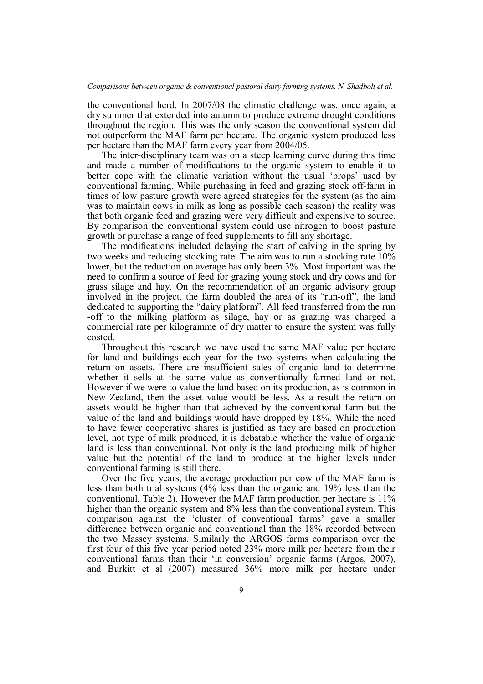the conventional herd. In 2007/08 the climatic challenge was, once again, a dry summer that extended into autumn to produce extreme drought conditions throughout the region. This was the only season the conventional system did not outperform the MAF farm per hectare. The organic system produced less per hectare than the MAF farm every year from 2004/05.

The inter-disciplinary team was on a steep learning curve during this time and made a number of modifications to the organic system to enable it to better cope with the climatic variation without the usual 'props' used by conventional farming. While purchasing in feed and grazing stock off-farm in times of low pasture growth were agreed strategies for the system (as the aim was to maintain cows in milk as long as possible each season) the reality was that both organic feed and grazing were very difficult and expensive to source. By comparison the conventional system could use nitrogen to boost pasture growth or purchase a range of feed supplements to fill any shortage.

The modifications included delaying the start of calving in the spring by two weeks and reducing stocking rate. The aim was to run a stocking rate 10% lower, but the reduction on average has only been 3%. Most important was the need to confirm a source of feed for grazing young stock and dry cows and for grass silage and hay. On the recommendation of an organic advisory group involved in the project, the farm doubled the area of its "run-off", the land dedicated to supporting the "dairy platform". All feed transferred from the run -off to the milking platform as silage, hay or as grazing was charged a commercial rate per kilogramme of dry matter to ensure the system was fully costed.

Throughout this research we have used the same MAF value per hectare for land and buildings each year for the two systems when calculating the return on assets. There are insufficient sales of organic land to determine whether it sells at the same value as conventionally farmed land or not. However if we were to value the land based on its production, as is common in New Zealand, then the asset value would be less. As a result the return on assets would be higher than that achieved by the conventional farm but the value of the land and buildings would have dropped by 18%. While the need to have fewer cooperative shares is justified as they are based on production level, not type of milk produced, it is debatable whether the value of organic land is less than conventional. Not only is the land producing milk of higher value but the potential of the land to produce at the higher levels under conventional farming is still there.

Over the five years, the average production per cow of the MAF farm is less than both trial systems (4% less than the organic and 19% less than the conventional, Table 2). However the MAF farm production per hectare is 11% higher than the organic system and 8% less than the conventional system. This comparison against the 'cluster of conventional farms' gave a smaller difference between organic and conventional than the 18% recorded between the two Massey systems. Similarly the ARGOS farms comparison over the first four of this five year period noted 23% more milk per hectare from their conventional farms than their 'in conversion' organic farms (Argos, 2007), and Burkitt et al (2007) measured 36% more milk per hectare under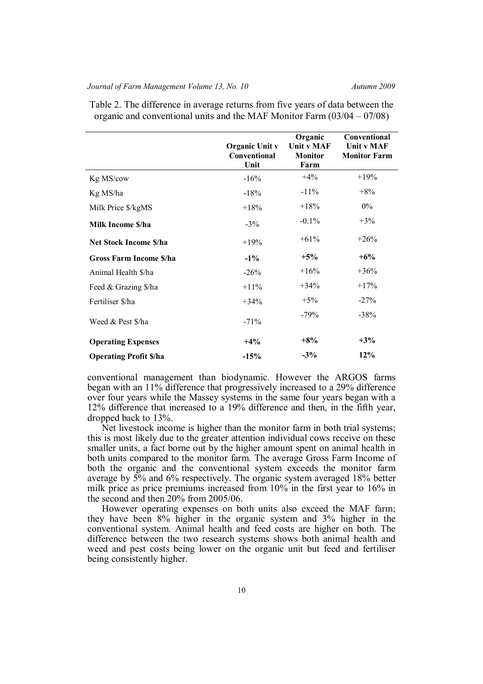## *Journal of Farm Management Volume 13, No. 10* Autumn 2009

|                               | <b>Organic Unit v</b><br>Conventional<br>Unit | Organic<br>Unit v MAF<br><b>Monitor</b><br>Farm | Conventional<br>Unit v MAF<br><b>Monitor Farm</b> |
|-------------------------------|-----------------------------------------------|-------------------------------------------------|---------------------------------------------------|
| Kg MS/cow                     | $-16%$                                        | $+4%$                                           | $+19%$                                            |
| Kg MS/ha                      | $-18%$                                        | $-11\%$                                         | $+8%$                                             |
| Milk Price \$/kgMS            | $+18%$                                        | $+18%$                                          | $0\%$                                             |
| Milk Income \$/ha             | $-3%$                                         | $-0.1%$                                         | $+3\%$                                            |
| <b>Net Stock Income S/ha</b>  | $+19%$                                        | $+61%$                                          | $+26%$                                            |
| <b>Gross Farm Income S/ha</b> | $-1\%$                                        | $+5%$                                           | $+6\%$                                            |
| Animal Health \$/ha           | $-26%$                                        | $+16%$                                          | $+36%$                                            |
| Feed & Grazing \$/ha          | $+11\%$                                       | $+34\%$                                         | $+17%$                                            |
| Fertiliser \$/ha              | $+34%$                                        | $+5%$                                           | $-27%$                                            |
| Weed & Pest \$/ha             | $-71%$                                        | $-79%$                                          | $-38%$                                            |
| <b>Operating Expenses</b>     | $+4%$                                         | $+8%$                                           | $+3%$                                             |
| <b>Operating Profit S/ha</b>  | $-15%$                                        | $-3\%$                                          | 12%                                               |

Table 2. The difference in average returns from five years of data between the organic and conventional units and the MAF Monitor Farm (03/04 – 07/08)

conventional management than biodynamic. However the ARGOS farms began with an 11% difference that progressively increased to a 29% difference over four years while the Massey systems in the same four years began with a 12% difference that increased to a 19% difference and then, in the fifth year, dropped back to 13%.

Net livestock income is higher than the monitor farm in both trial systems; this is most likely due to the greater attention individual cows receive on these smaller units, a fact borne out by the higher amount spent on animal health in both units compared to the monitor farm. The average Gross Farm Income of both the organic and the conventional system exceeds the monitor farm average by 5% and 6% respectively. The organic system averaged 18% better milk price as price premiums increased from 10% in the first year to 16% in the second and then 20% from 2005/06.

However operating expenses on both units also exceed the MAF farm; they have been 8% higher in the organic system and 3% higher in the conventional system. Animal health and feed costs are higher on both. The difference between the two research systems shows both animal health and weed and pest costs being lower on the organic unit but feed and fertiliser being consistently higher.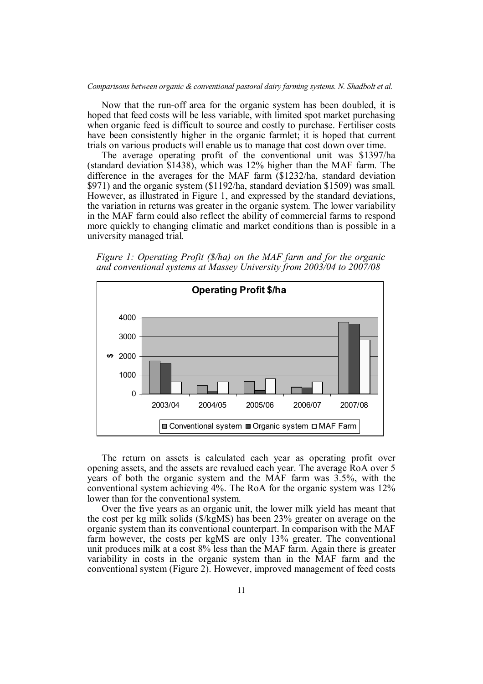Now that the run-off area for the organic system has been doubled, it is hoped that feed costs will be less variable, with limited spot market purchasing when organic feed is difficult to source and costly to purchase. Fertiliser costs have been consistently higher in the organic farmlet; it is hoped that current trials on various products will enable us to manage that cost down over time.

The average operating profit of the conventional unit was \$1397/ha (standard deviation \$1438), which was 12% higher than the MAF farm. The difference in the averages for the MAF farm (\$1232/ha, standard deviation \$971) and the organic system (\$1192/ha, standard deviation \$1509) was small. However, as illustrated in Figure 1, and expressed by the standard deviations, the variation in returns was greater in the organic system. The lower variability in the MAF farm could also reflect the ability of commercial farms to respond more quickly to changing climatic and market conditions than is possible in a university managed trial.

*Figure 1: Operating Profit (\$/ha) on the MAF farm and for the organic and conventional systems at Massey University from 2003/04 to 2007/08*



The return on assets is calculated each year as operating profit over opening assets, and the assets are revalued each year. The average RoA over 5 years of both the organic system and the MAF farm was 3.5%, with the conventional system achieving 4%. The RoA for the organic system was 12% lower than for the conventional system.

Over the five years as an organic unit, the lower milk yield has meant that the cost per kg milk solids (\$/kgMS) has been 23% greater on average on the organic system than its conventional counterpart. In comparison with the MAF farm however, the costs per kgMS are only 13% greater. The conventional unit produces milk at a cost 8% less than the MAF farm. Again there is greater variability in costs in the organic system than in the MAF farm and the conventional system (Figure 2). However, improved management of feed costs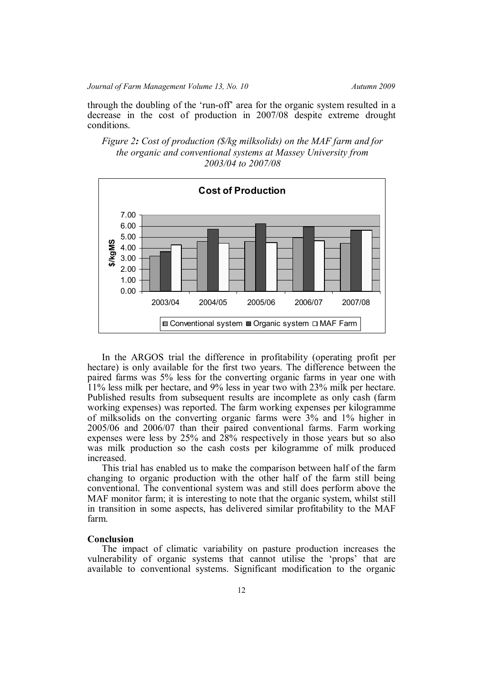through the doubling of the 'run-off' area for the organic system resulted in a decrease in the cost of production in 2007/08 despite extreme drought conditions.





In the ARGOS trial the difference in profitability (operating profit per hectare) is only available for the first two years. The difference between the paired farms was 5% less for the converting organic farms in year one with 11% less milk per hectare, and 9% less in year two with 23% milk per hectare. Published results from subsequent results are incomplete as only cash (farm working expenses) was reported. The farm working expenses per kilogramme of milksolids on the converting organic farms were 3% and 1% higher in 2005/06 and 2006/07 than their paired conventional farms. Farm working expenses were less by 25% and 28% respectively in those years but so also was milk production so the cash costs per kilogramme of milk produced increased.

This trial has enabled us to make the comparison between half of the farm changing to organic production with the other half of the farm still being conventional. The conventional system was and still does perform above the MAF monitor farm; it is interesting to note that the organic system, whilst still in transition in some aspects, has delivered similar profitability to the MAF farm.

## **Conclusion**

The impact of climatic variability on pasture production increases the vulnerability of organic systems that cannot utilise the 'props' that are available to conventional systems. Significant modification to the organic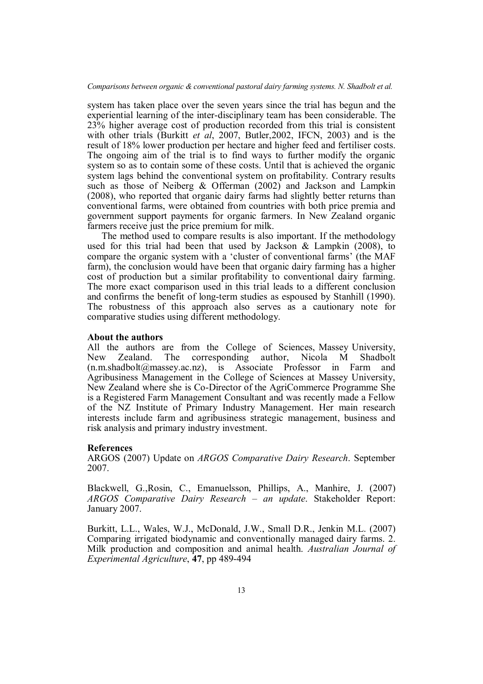system has taken place over the seven years since the trial has begun and the experiential learning of the inter-disciplinary team has been considerable. The 23% higher average cost of production recorded from this trial is consistent with other trials (Burkitt *et al*, 2007, Butler,2002, IFCN, 2003) and is the result of 18% lower production per hectare and higher feed and fertiliser costs. The ongoing aim of the trial is to find ways to further modify the organic system so as to contain some of these costs. Until that is achieved the organic system lags behind the conventional system on profitability. Contrary results such as those of Neiberg & Offerman (2002) and Jackson and Lampkin (2008), who reported that organic dairy farms had slightly better returns than conventional farms, were obtained from countries with both price premia and government support payments for organic farmers. In New Zealand organic farmers receive just the price premium for milk.

The method used to compare results is also important. If the methodology used for this trial had been that used by Jackson & Lampkin (2008), to compare the organic system with a 'cluster of conventional farms' (the MAF farm), the conclusion would have been that organic dairy farming has a higher cost of production but a similar profitability to conventional dairy farming. The more exact comparison used in this trial leads to a different conclusion and confirms the benefit of long-term studies as espoused by Stanhill (1990). The robustness of this approach also serves as a cautionary note for comparative studies using different methodology.

#### **About the authors**

All the authors are from the College of Sciences, Massey University, New Zealand. The corresponding author, Nicola M Shadbolt (n.m.shadbolt@massey.ac.nz), is Associate Professor in Farm and Agribusiness Management in the College of Sciences at Massey University, New Zealand where she is Co-Director of the AgriCommerce Programme She is a Registered Farm Management Consultant and was recently made a Fellow of the NZ Institute of Primary Industry Management. Her main research interests include farm and agribusiness strategic management, business and risk analysis and primary industry investment.

#### **References**

ARGOS (2007) Update on *ARGOS Comparative Dairy Research*. September 2007.

Blackwell, G.,Rosin, C., Emanuelsson, Phillips, A., Manhire, J. (2007) *ARGOS Comparative Dairy Research – an update*. Stakeholder Report: January 2007.

Burkitt, L.L., Wales, W.J., McDonald, J.W., Small D.R., Jenkin M.L. (2007) Comparing irrigated biodynamic and conventionally managed dairy farms. 2. Milk production and composition and animal health. *Australian Journal of Experimental Agriculture*, **47**, pp 489-494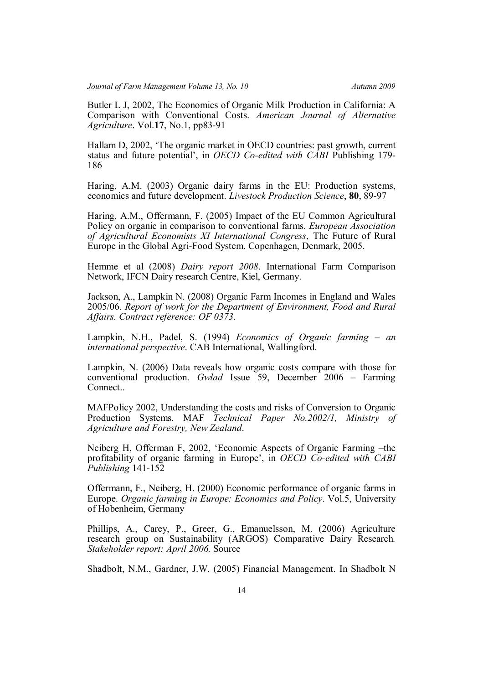Butler L J, 2002, The Economics of Organic Milk Production in California: A Comparison with Conventional Costs. *American Journal of Alternative Agriculture*. Vol.**17**, No.1, pp83-91

Hallam D, 2002, 'The organic market in OECD countries: past growth, current status and future potential', in *OECD Co-edited with CABI* Publishing 179- 186

Haring, A.M. (2003) Organic dairy farms in the EU: Production systems, economics and future development. *Livestock Production Science*, **80**, 89-97

Haring, A.M., Offermann, F. (2005) Impact of the EU Common Agricultural Policy on organic in comparison to conventional farms. *European Association of Agricultural Economists XI International Congress*, The Future of Rural Europe in the Global Agri-Food System. Copenhagen, Denmark, 2005.

Hemme et al (2008) *Dairy report 2008*. International Farm Comparison Network, IFCN Dairy research Centre, Kiel, Germany.

Jackson, A., Lampkin N. (2008) Organic Farm Incomes in England and Wales 2005/06. *Report of work for the Department of Environment, Food and Rural Affairs. Contract reference: OF 0373*.

Lampkin, N.H., Padel, S. (1994) *Economics of Organic farming – an international perspective*. CAB International, Wallingford.

Lampkin, N. (2006) Data reveals how organic costs compare with those for conventional production. *Gwlad* Issue 59, December 2006 – Farming **Connect.** 

MAFPolicy 2002, Understanding the costs and risks of Conversion to Organic Production Systems. MAF *Technical Paper No.2002/1, Ministry of Agriculture and Forestry, New Zealand*.

Neiberg H, Offerman F, 2002, 'Economic Aspects of Organic Farming –the profitability of organic farming in Europe', in *OECD Co-edited with CABI Publishing* 141-152

Offermann, F., Neiberg, H. (2000) Economic performance of organic farms in Europe. *Organic farming in Europe: Economics and Policy*. Vol.5, University of Hobenheim, Germany

Phillips, A., Carey, P., Greer, G., Emanuelsson, M. (2006) Agriculture research group on Sustainability (ARGOS) Comparative Dairy Research*. Stakeholder report: April 2006.* Source

Shadbolt, N.M., Gardner, J.W. (2005) Financial Management. In Shadbolt N